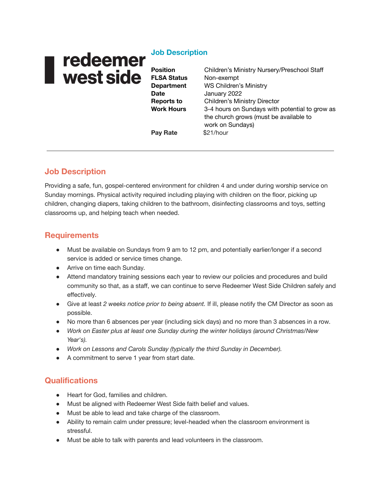# I redeemer<br>I west side

### **Job Description**

**Position** Children's Ministry Nursery/Preschool Staff **FLSA Status** Non-exempt **Department** WS Children's Ministry **Date** January 2022 **Reports to** Children's Ministry Director **Work Hours** 3-4 hours on Sundays with potential to grow as the church grows (must be available to work on Sundays) **Pay Rate** \$21/hour

# **Job Description**

Providing a safe, fun, gospel-centered environment for children 4 and under during worship service on Sunday mornings. Physical activity required including playing with children on the floor, picking up children, changing diapers, taking children to the bathroom, disinfecting classrooms and toys, setting classrooms up, and helping teach when needed.

### **Requirements**

- Must be available on Sundays from 9 am to 12 pm, and potentially earlier/longer if a second service is added or service times change.
- Arrive on time each Sunday.
- Attend mandatory training sessions each year to review our policies and procedures and build community so that, as a staff, we can continue to serve Redeemer West Side Children safely and effectively.
- Give at least *2 weeks notice prior to being absent.* If ill, please notify the CM Director as soon as possible.
- No more than 6 absences per year (including sick days) and no more than 3 absences in a row.
- *Work on Easter plus at least one Sunday during the winter holidays (around Christmas/New Year's).*
- *● Work on Lessons and Carols Sunday (typically the third Sunday in December).*
- A commitment to serve 1 year from start date.

# **Qualifications**

- Heart for God, families and children.
- Must be aligned with Redeemer West Side faith belief and values.
- Must be able to lead and take charge of the classroom.
- Ability to remain calm under pressure; level-headed when the classroom environment is stressful.
- Must be able to talk with parents and lead volunteers in the classroom.